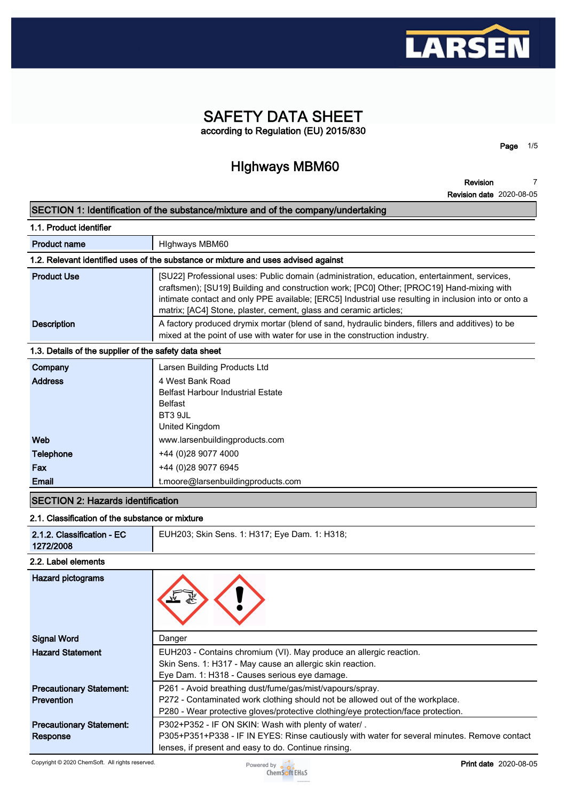

## **SAFETY DATA SHEET according to Regulation (EU) 2015/830**

## **HIghways MBM60**

**Page 1/5**

**Revision 7**

|                                                                                   | <b>Revision date 2020-08-05</b>                                                                                                                                                                                                                                                                                                                                        |  |
|-----------------------------------------------------------------------------------|------------------------------------------------------------------------------------------------------------------------------------------------------------------------------------------------------------------------------------------------------------------------------------------------------------------------------------------------------------------------|--|
| SECTION 1: Identification of the substance/mixture and of the company/undertaking |                                                                                                                                                                                                                                                                                                                                                                        |  |
| 1.1. Product identifier                                                           |                                                                                                                                                                                                                                                                                                                                                                        |  |
| <b>Product name</b>                                                               | Highways MBM60                                                                                                                                                                                                                                                                                                                                                         |  |
|                                                                                   | 1.2. Relevant identified uses of the substance or mixture and uses advised against                                                                                                                                                                                                                                                                                     |  |
| <b>Product Use</b>                                                                | [SU22] Professional uses: Public domain (administration, education, entertainment, services,<br>craftsmen); [SU19] Building and construction work; [PC0] Other; [PROC19] Hand-mixing with<br>intimate contact and only PPE available; [ERC5] Industrial use resulting in inclusion into or onto a<br>matrix; [AC4] Stone, plaster, cement, glass and ceramic articles; |  |
| <b>Description</b>                                                                | A factory produced drymix mortar (blend of sand, hydraulic binders, fillers and additives) to be<br>mixed at the point of use with water for use in the construction industry.                                                                                                                                                                                         |  |
| 1.3. Details of the supplier of the safety data sheet                             |                                                                                                                                                                                                                                                                                                                                                                        |  |
| Company                                                                           | Larsen Building Products Ltd                                                                                                                                                                                                                                                                                                                                           |  |
| <b>Address</b>                                                                    | 4 West Bank Road<br><b>Belfast Harbour Industrial Estate</b><br><b>Belfast</b><br>BT3 9JL<br>United Kingdom                                                                                                                                                                                                                                                            |  |
| Web                                                                               | www.larsenbuildingproducts.com                                                                                                                                                                                                                                                                                                                                         |  |
| <b>Telephone</b>                                                                  | +44 (0)28 9077 4000                                                                                                                                                                                                                                                                                                                                                    |  |
| Fax                                                                               | +44 (0)28 9077 6945                                                                                                                                                                                                                                                                                                                                                    |  |
| Email                                                                             | t.moore@larsenbuildingproducts.com                                                                                                                                                                                                                                                                                                                                     |  |
| <b>SECTION 2: Hazards identification</b>                                          |                                                                                                                                                                                                                                                                                                                                                                        |  |

## **2.1. Classification of the substance or mixture**

| 2.1.2. Classification - EC<br>1272/2008 | EUH203; Skin Sens. 1: H317; Eye Dam. 1: H318;                                                                                                                                    |  |  |  |
|-----------------------------------------|----------------------------------------------------------------------------------------------------------------------------------------------------------------------------------|--|--|--|
| 2.2. Label elements                     |                                                                                                                                                                                  |  |  |  |
| Hazard pictograms                       |                                                                                                                                                                                  |  |  |  |
| <b>Signal Word</b>                      | Danger                                                                                                                                                                           |  |  |  |
| <b>Hazard Statement</b>                 | EUH203 - Contains chromium (VI). May produce an allergic reaction.<br>Skin Sens. 1: H317 - May cause an allergic skin reaction.<br>Eye Dam. 1: H318 - Causes serious eye damage. |  |  |  |

**Precautionary Statement: Prevention**

**Precautionary Statement: Response**

**P302+P352 - IF ON SKIN: Wash with plenty of water/ . P305+P351+P338 - IF IN EYES: Rinse cautiously with water for several minutes. Remove contact lenses, if present and easy to do. Continue rinsing.**

**P272 - Contaminated work clothing should not be allowed out of the workplace. P280 - Wear protective gloves/protective clothing/eye protection/face protection.**



**P261 - Avoid breathing dust/fume/gas/mist/vapours/spray.**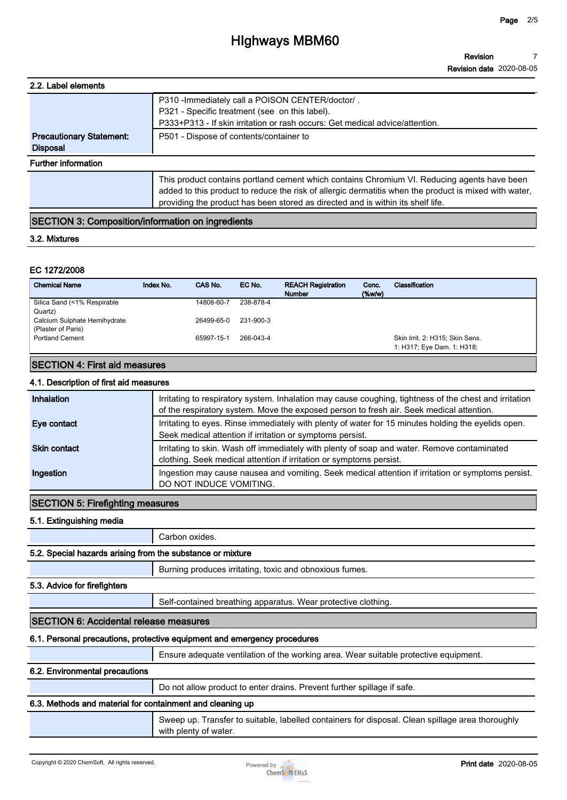## **HIghways MBM60**

**Revision Revision date 2020-08-05 7**

| 2.2. Label elements             |                                                                                                                                                                                                                                                                                         |
|---------------------------------|-----------------------------------------------------------------------------------------------------------------------------------------------------------------------------------------------------------------------------------------------------------------------------------------|
|                                 | P310 - Immediately call a POISON CENTER/doctor/.                                                                                                                                                                                                                                        |
|                                 | P321 - Specific treatment (see on this label).                                                                                                                                                                                                                                          |
|                                 | P333+P313 - If skin irritation or rash occurs: Get medical advice/attention.                                                                                                                                                                                                            |
| <b>Precautionary Statement:</b> | P501 - Dispose of contents/container to                                                                                                                                                                                                                                                 |
| <b>Disposal</b>                 |                                                                                                                                                                                                                                                                                         |
| <b>Further information</b>      |                                                                                                                                                                                                                                                                                         |
|                                 | This product contains portland cement which contains Chromium VI. Reducing agents have been<br>added to this product to reduce the risk of allergic dermatitis when the product is mixed with water,<br>providing the product has been stored as directed and is within its shelf life. |

## **SECTION 3: Composition/information on ingredients**

#### **3.2. Mixtures**

#### **EC 1272/2008**

| <b>Chemical Name</b>                               | Index No. | CAS No.    | EC No.    | <b>REACH Registration</b><br><b>Number</b> | Conc.<br>(% | Classification                                                |
|----------------------------------------------------|-----------|------------|-----------|--------------------------------------------|-------------|---------------------------------------------------------------|
| Silica Sand (<1% Respirable<br>Quartz)             |           | 14808-60-7 | 238-878-4 |                                            |             |                                                               |
| Calcium Sulphate Hemihydrate<br>(Plaster of Paris) |           | 26499-65-0 | 231-900-3 |                                            |             |                                                               |
| <b>Portland Cement</b>                             |           | 65997-15-1 | 266-043-4 |                                            |             | Skin Irrit. 2: H315; Skin Sens.<br>1: H317; Eye Dam. 1: H318; |

## **SECTION 4: First aid measures**

#### **4.1. Description of first aid measures**

| Inhalation          | Irritating to respiratory system. Inhalation may cause coughing, tightness of the chest and irritation<br>of the respiratory system. Move the exposed person to fresh air. Seek medical attention. |
|---------------------|----------------------------------------------------------------------------------------------------------------------------------------------------------------------------------------------------|
| Eye contact         | Irritating to eyes. Rinse immediately with plenty of water for 15 minutes holding the eyelids open.<br>Seek medical attention if irritation or symptoms persist.                                   |
| <b>Skin contact</b> | Irritating to skin. Wash off immediately with plenty of soap and water. Remove contaminated<br>clothing. Seek medical attention if irritation or symptoms persist.                                 |
| Ingestion           | Ingestion may cause nausea and vomiting. Seek medical attention if irritation or symptoms persist.<br>DO NOT INDUCE VOMITING.                                                                      |

## **SECTION 5: Firefighting measures**

**5.1. Extinguishing media**

**Carbon oxides.**

## **5.2. Special hazards arising from the substance or mixture**

**Burning produces irritating, toxic and obnoxious fumes.**

#### **5.3. Advice for firefighters**

**Self-contained breathing apparatus. Wear protective clothing.**

#### **SECTION 6: Accidental release measures**

## **6.1. Personal precautions, protective equipment and emergency procedures**

**Ensure adequate ventilation of the working area. Wear suitable protective equipment.**

#### **6.2. Environmental precautions**

**Do not allow product to enter drains. Prevent further spillage if safe.**

## **6.3. Methods and material for containment and cleaning up**

**Sweep up. Transfer to suitable, labelled containers for disposal. Clean spillage area thoroughly with plenty of water.**

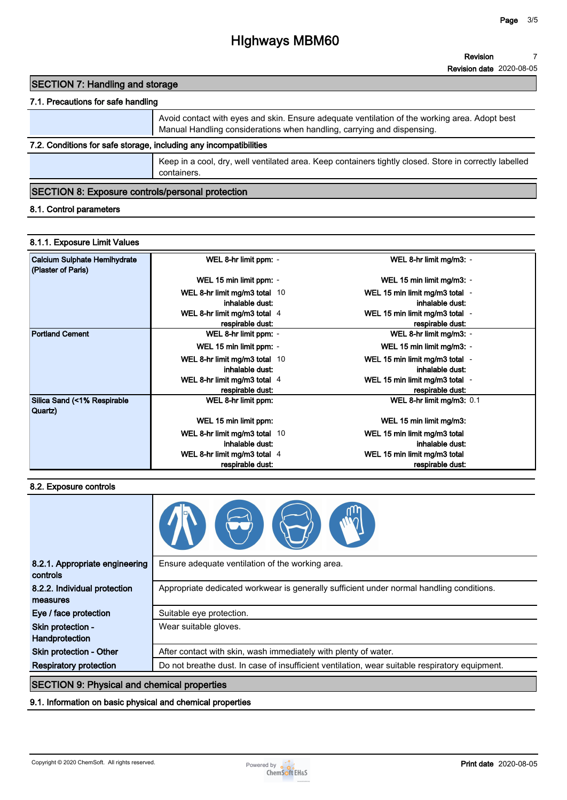# **HIghways MBM60**

## **SECTION 7: Handling and storage**

## **7.1. Precautions for safe handling**

|                                                                   | Avoid contact with eyes and skin. Ensure adequate ventilation of the working area. Adopt best<br>Manual Handling considerations when handling, carrying and dispensing. |  |
|-------------------------------------------------------------------|-------------------------------------------------------------------------------------------------------------------------------------------------------------------------|--|
| 7.2. Conditions for safe storage, including any incompatibilities |                                                                                                                                                                         |  |
|                                                                   | Keep in a cool, dry, well ventilated area. Keep containers tightly closed. Store in correctly labelled<br>containers.                                                   |  |
|                                                                   |                                                                                                                                                                         |  |

## **SECTION 8: Exposure controls/personal protection**

## **8.1. Control parameters**

#### **8.1.1. Exposure Limit Values**

| Calcium Sulphate Hemihydrate<br>(Plaster of Paris) | WEL 8-hr limit ppm: -         | WEL 8-hr limit mg/m3: -        |
|----------------------------------------------------|-------------------------------|--------------------------------|
|                                                    | WEL 15 min limit ppm: -       | WEL 15 min limit mg/m3: -      |
|                                                    | WEL 8-hr limit mg/m3 total 10 | WEL 15 min limit mg/m3 total - |
|                                                    | inhalable dust:               | inhalable dust:                |
|                                                    | WEL 8-hr limit mg/m3 total 4  | WEL 15 min limit mg/m3 total - |
|                                                    | respirable dust:              | respirable dust:               |
| <b>Portland Cement</b>                             | WEL 8-hr limit ppm: -         | WEL 8-hr limit mg/m3: -        |
|                                                    | WEL 15 min limit ppm: -       | WEL 15 min limit mg/m3: -      |
|                                                    | WEL 8-hr limit mg/m3 total 10 | WEL 15 min limit mg/m3 total - |
|                                                    | inhalable dust:               | inhalable dust:                |
|                                                    | WEL 8-hr limit mg/m3 total 4  | WEL 15 min limit mg/m3 total - |
|                                                    | respirable dust:              | respirable dust:               |
| Silica Sand (<1% Respirable<br>Quartz)             | WEL 8-hr limit ppm:           | WEL 8-hr limit mg/m3: 0.1      |
|                                                    | WEL 15 min limit ppm:         | WEL 15 min limit mg/m3:        |
|                                                    | WEL 8-hr limit mg/m3 total 10 | WEL 15 min limit mg/m3 total   |
|                                                    | inhalable dust:               | inhalable dust:                |
|                                                    | WEL 8-hr limit mg/m3 total 4  | WEL 15 min limit mg/m3 total   |
|                                                    | respirable dust:              | respirable dust:               |

#### **8.2. Exposure controls**

| 8.2.1. Appropriate engineering<br>controls         | Ensure adequate ventilation of the working area.                                               |  |
|----------------------------------------------------|------------------------------------------------------------------------------------------------|--|
| 8.2.2. Individual protection<br>measures           | Appropriate dedicated workwear is generally sufficient under normal handling conditions.       |  |
| Eye / face protection                              | Suitable eye protection.                                                                       |  |
| Skin protection -<br>Handprotection                | Wear suitable gloves.                                                                          |  |
| Skin protection - Other                            | After contact with skin, wash immediately with plenty of water.                                |  |
| <b>Respiratory protection</b>                      | Do not breathe dust. In case of insufficient ventilation, wear suitable respiratory equipment. |  |
| <b>SECTION 9: Physical and chemical properties</b> |                                                                                                |  |

### **9.1. Information on basic physical and chemical properties**

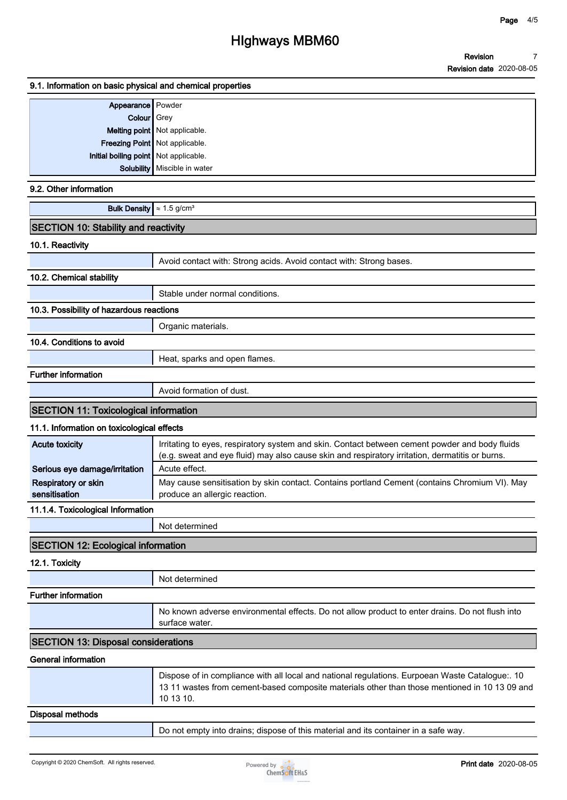### **9.1. Information on basic physical and chemical properties**

| Appearance Powder                     |                                |
|---------------------------------------|--------------------------------|
| Colour Grey                           |                                |
|                                       | Melting point Not applicable.  |
|                                       | Freezing Point Not applicable. |
| Initial boiling point Not applicable. |                                |
|                                       | Solubility   Miscible in water |
|                                       |                                |

### **9.2. Other information**

|  | <b>Bulk Density</b> $\approx 1.5$ g/cm <sup>3</sup> |  |
|--|-----------------------------------------------------|--|
|--|-----------------------------------------------------|--|

| <b>SECTION 10: Stability and reactivity</b> |  |
|---------------------------------------------|--|
|---------------------------------------------|--|

#### **10.1. Reactivity**

|                                              | Avoid contact with: Strong acids. Avoid contact with: Strong bases. |  |
|----------------------------------------------|---------------------------------------------------------------------|--|
| 10.2. Chemical stability                     |                                                                     |  |
|                                              | Stable under normal conditions.                                     |  |
| 10.3. Possibility of hazardous reactions     |                                                                     |  |
|                                              | Organic materials.                                                  |  |
| 10.4. Conditions to avoid                    |                                                                     |  |
|                                              | Heat, sparks and open flames.                                       |  |
| <b>Further information</b>                   |                                                                     |  |
|                                              | Avoid formation of dust.                                            |  |
| <b>SECTION 11: Toxicological information</b> |                                                                     |  |

## **11.1. Information on toxicological effects**

| <b>Acute toxicity</b>         | Irritating to eyes, respiratory system and skin. Contact between cement powder and body fluids<br>(e.g. sweat and eye fluid) may also cause skin and respiratory irritation, dermatitis or burns. |
|-------------------------------|---------------------------------------------------------------------------------------------------------------------------------------------------------------------------------------------------|
| Serious eye damage/irritation | Acute effect.                                                                                                                                                                                     |
| <b>Respiratory or skin</b>    | May cause sensitisation by skin contact. Contains portland Cement (contains Chromium VI). May                                                                                                     |
| sensitisation                 | produce an allergic reaction.                                                                                                                                                                     |

#### **11.1.4. Toxicological Information**

| Not determined |  |
|----------------|--|
|                |  |

## **SECTION 12: Ecological information**

**12.1. Toxicity**

|                            | Not determined                                                                                                    |
|----------------------------|-------------------------------------------------------------------------------------------------------------------|
| <b>Further information</b> |                                                                                                                   |
|                            | No known adverse environmental effects. Do not allow product to enter drains. Do not flush into<br>surface water. |

## **SECTION 13: Disposal considerations**

#### **General information**

| 10 13 10. | 13 11 wastes from cement-based composite materials other than those mentioned in 10 13 09 and |
|-----------|-----------------------------------------------------------------------------------------------|
|-----------|-----------------------------------------------------------------------------------------------|

#### **Disposal methods**

**Do not empty into drains; dispose of this material and its container in a safe way.**